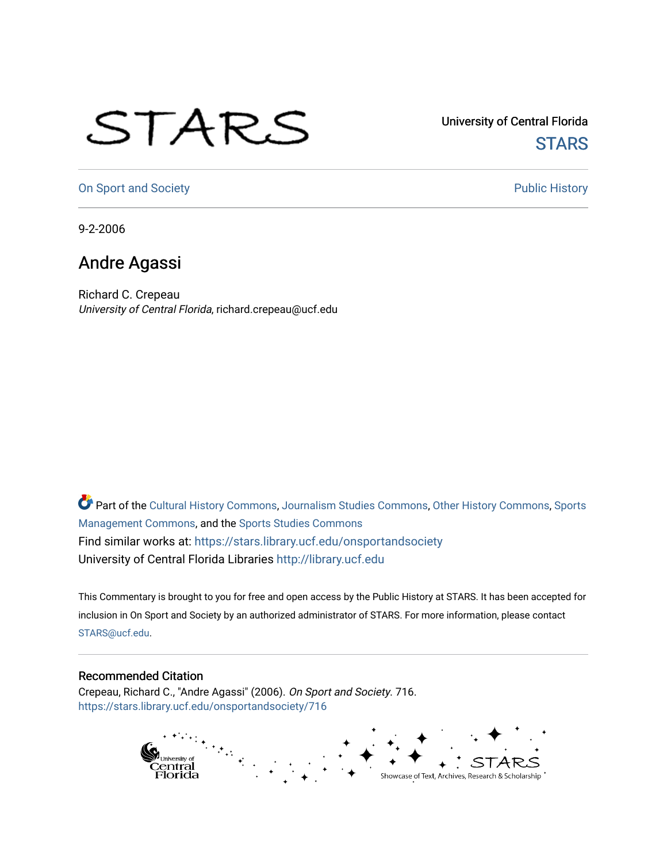## STARS

University of Central Florida **STARS** 

[On Sport and Society](https://stars.library.ucf.edu/onsportandsociety) **Public History** Public History

9-2-2006

## Andre Agassi

Richard C. Crepeau University of Central Florida, richard.crepeau@ucf.edu

Part of the [Cultural History Commons](http://network.bepress.com/hgg/discipline/496?utm_source=stars.library.ucf.edu%2Fonsportandsociety%2F716&utm_medium=PDF&utm_campaign=PDFCoverPages), [Journalism Studies Commons,](http://network.bepress.com/hgg/discipline/333?utm_source=stars.library.ucf.edu%2Fonsportandsociety%2F716&utm_medium=PDF&utm_campaign=PDFCoverPages) [Other History Commons,](http://network.bepress.com/hgg/discipline/508?utm_source=stars.library.ucf.edu%2Fonsportandsociety%2F716&utm_medium=PDF&utm_campaign=PDFCoverPages) [Sports](http://network.bepress.com/hgg/discipline/1193?utm_source=stars.library.ucf.edu%2Fonsportandsociety%2F716&utm_medium=PDF&utm_campaign=PDFCoverPages) [Management Commons](http://network.bepress.com/hgg/discipline/1193?utm_source=stars.library.ucf.edu%2Fonsportandsociety%2F716&utm_medium=PDF&utm_campaign=PDFCoverPages), and the [Sports Studies Commons](http://network.bepress.com/hgg/discipline/1198?utm_source=stars.library.ucf.edu%2Fonsportandsociety%2F716&utm_medium=PDF&utm_campaign=PDFCoverPages) Find similar works at: <https://stars.library.ucf.edu/onsportandsociety> University of Central Florida Libraries [http://library.ucf.edu](http://library.ucf.edu/) 

This Commentary is brought to you for free and open access by the Public History at STARS. It has been accepted for inclusion in On Sport and Society by an authorized administrator of STARS. For more information, please contact [STARS@ucf.edu](mailto:STARS@ucf.edu).

## Recommended Citation

Crepeau, Richard C., "Andre Agassi" (2006). On Sport and Society. 716. [https://stars.library.ucf.edu/onsportandsociety/716](https://stars.library.ucf.edu/onsportandsociety/716?utm_source=stars.library.ucf.edu%2Fonsportandsociety%2F716&utm_medium=PDF&utm_campaign=PDFCoverPages)

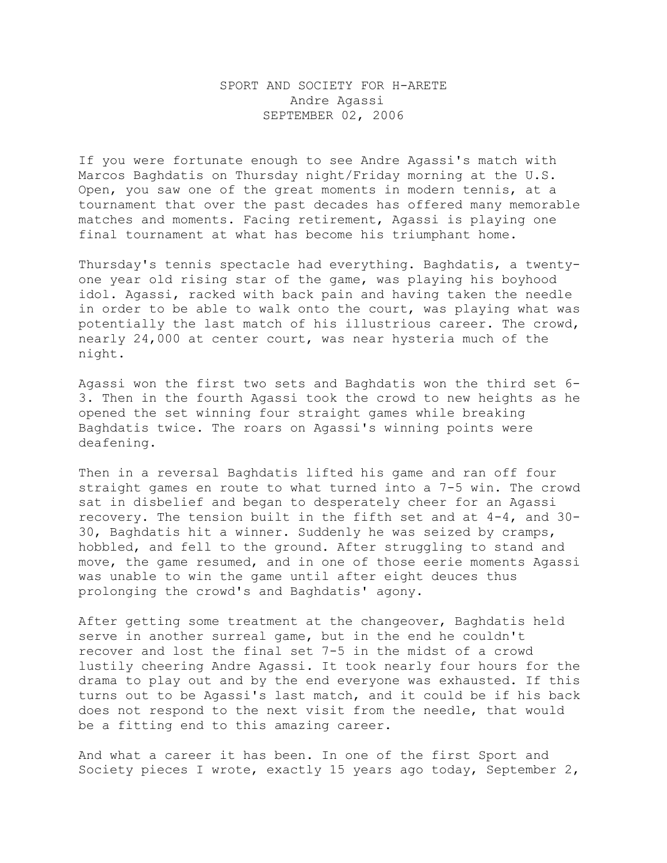## SPORT AND SOCIETY FOR H-ARETE Andre Agassi SEPTEMBER 02, 2006

If you were fortunate enough to see Andre Agassi's match with Marcos Baghdatis on Thursday night/Friday morning at the U.S. Open, you saw one of the great moments in modern tennis, at a tournament that over the past decades has offered many memorable matches and moments. Facing retirement, Agassi is playing one final tournament at what has become his triumphant home.

Thursday's tennis spectacle had everything. Baghdatis, a twentyone year old rising star of the game, was playing his boyhood idol. Agassi, racked with back pain and having taken the needle in order to be able to walk onto the court, was playing what was potentially the last match of his illustrious career. The crowd, nearly 24,000 at center court, was near hysteria much of the night.

Agassi won the first two sets and Baghdatis won the third set 6- 3. Then in the fourth Agassi took the crowd to new heights as he opened the set winning four straight games while breaking Baghdatis twice. The roars on Agassi's winning points were deafening.

Then in a reversal Baghdatis lifted his game and ran off four straight games en route to what turned into a 7-5 win. The crowd sat in disbelief and began to desperately cheer for an Agassi recovery. The tension built in the fifth set and at 4-4, and 30- 30, Baghdatis hit a winner. Suddenly he was seized by cramps, hobbled, and fell to the ground. After struggling to stand and move, the game resumed, and in one of those eerie moments Agassi was unable to win the game until after eight deuces thus prolonging the crowd's and Baghdatis' agony.

After getting some treatment at the changeover, Baghdatis held serve in another surreal game, but in the end he couldn't recover and lost the final set 7-5 in the midst of a crowd lustily cheering Andre Agassi. It took nearly four hours for the drama to play out and by the end everyone was exhausted. If this turns out to be Agassi's last match, and it could be if his back does not respond to the next visit from the needle, that would be a fitting end to this amazing career.

And what a career it has been. In one of the first Sport and Society pieces I wrote, exactly 15 years ago today, September 2,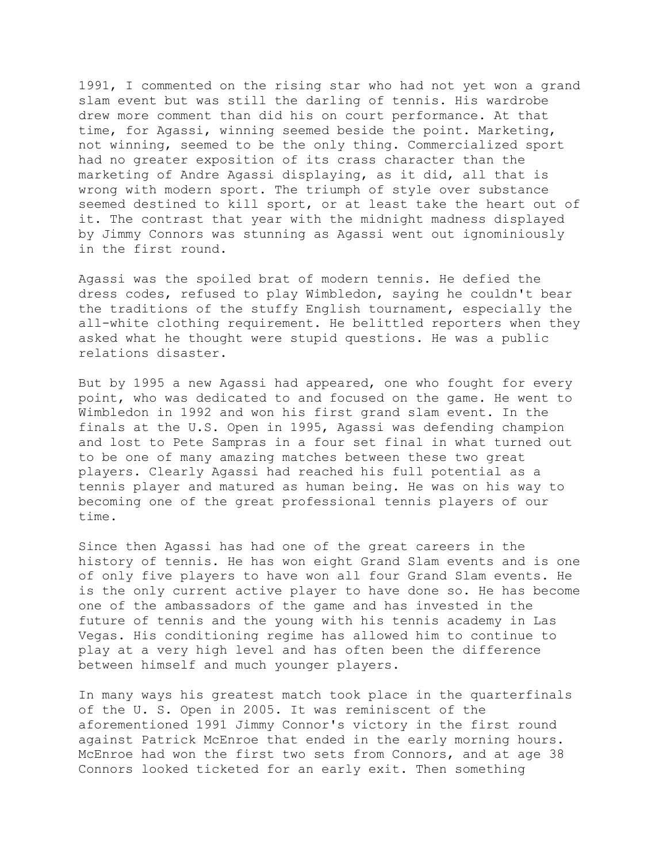1991, I commented on the rising star who had not yet won a grand slam event but was still the darling of tennis. His wardrobe drew more comment than did his on court performance. At that time, for Agassi, winning seemed beside the point. Marketing, not winning, seemed to be the only thing. Commercialized sport had no greater exposition of its crass character than the marketing of Andre Agassi displaying, as it did, all that is wrong with modern sport. The triumph of style over substance seemed destined to kill sport, or at least take the heart out of it. The contrast that year with the midnight madness displayed by Jimmy Connors was stunning as Agassi went out ignominiously in the first round.

Agassi was the spoiled brat of modern tennis. He defied the dress codes, refused to play Wimbledon, saying he couldn't bear the traditions of the stuffy English tournament, especially the all-white clothing requirement. He belittled reporters when they asked what he thought were stupid questions. He was a public relations disaster.

But by 1995 a new Agassi had appeared, one who fought for every point, who was dedicated to and focused on the game. He went to Wimbledon in 1992 and won his first grand slam event. In the finals at the U.S. Open in 1995, Agassi was defending champion and lost to Pete Sampras in a four set final in what turned out to be one of many amazing matches between these two great players. Clearly Agassi had reached his full potential as a tennis player and matured as human being. He was on his way to becoming one of the great professional tennis players of our time.

Since then Agassi has had one of the great careers in the history of tennis. He has won eight Grand Slam events and is one of only five players to have won all four Grand Slam events. He is the only current active player to have done so. He has become one of the ambassadors of the game and has invested in the future of tennis and the young with his tennis academy in Las Vegas. His conditioning regime has allowed him to continue to play at a very high level and has often been the difference between himself and much younger players.

In many ways his greatest match took place in the quarterfinals of the U. S. Open in 2005. It was reminiscent of the aforementioned 1991 Jimmy Connor's victory in the first round against Patrick McEnroe that ended in the early morning hours. McEnroe had won the first two sets from Connors, and at age 38 Connors looked ticketed for an early exit. Then something